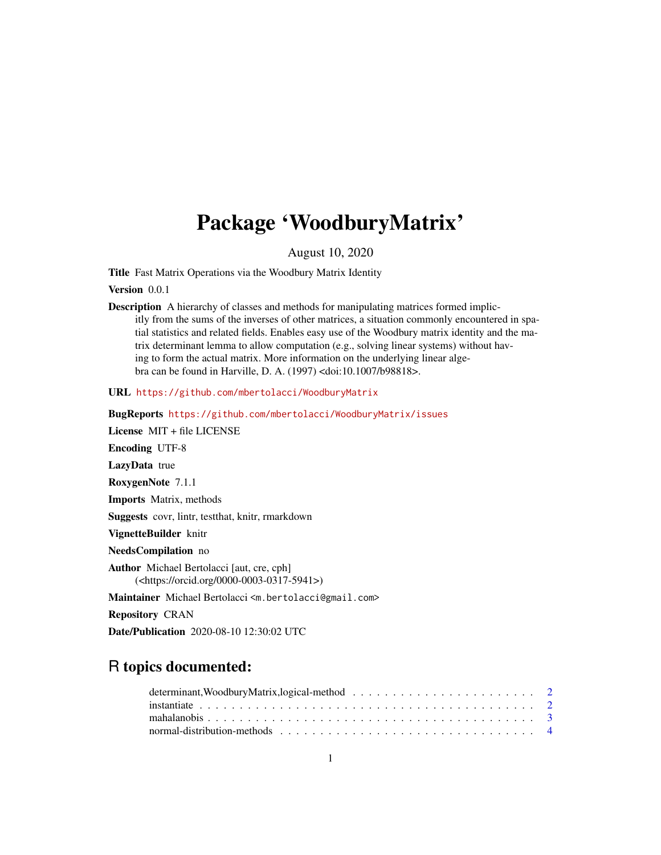# <span id="page-0-0"></span>Package 'WoodburyMatrix'

August 10, 2020

Title Fast Matrix Operations via the Woodbury Matrix Identity

Version 0.0.1

Description A hierarchy of classes and methods for manipulating matrices formed implicitly from the sums of the inverses of other matrices, a situation commonly encountered in spatial statistics and related fields. Enables easy use of the Woodbury matrix identity and the matrix determinant lemma to allow computation (e.g., solving linear systems) without having to form the actual matrix. More information on the underlying linear algebra can be found in Harville, D. A. (1997) <doi:10.1007/b98818>.

URL <https://github.com/mbertolacci/WoodburyMatrix>

BugReports <https://github.com/mbertolacci/WoodburyMatrix/issues>

License MIT + file LICENSE

Encoding UTF-8

LazyData true

RoxygenNote 7.1.1

Imports Matrix, methods

Suggests covr, lintr, testthat, knitr, rmarkdown

VignetteBuilder knitr

NeedsCompilation no

Author Michael Bertolacci [aut, cre, cph] (<https://orcid.org/0000-0003-0317-5941>)

Maintainer Michael Bertolacci <m.bertolacci@gmail.com>

Repository CRAN

Date/Publication 2020-08-10 12:30:02 UTC

# R topics documented: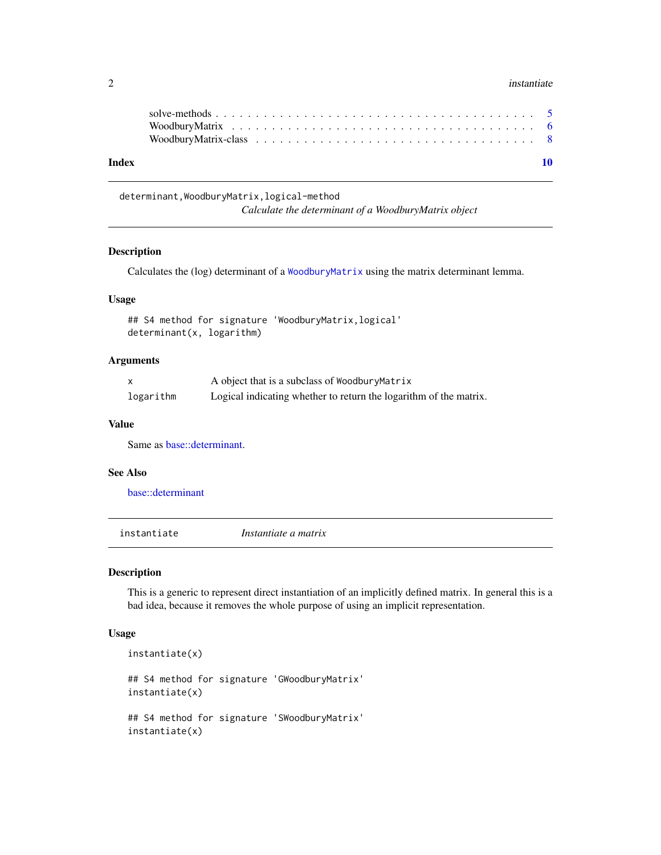#### <span id="page-1-0"></span> $2 \times 2$

| Index |  |  |  |  |  |  |  |  |  |  |  |  |  |  |  |  |  |  |
|-------|--|--|--|--|--|--|--|--|--|--|--|--|--|--|--|--|--|--|

determinant,WoodburyMatrix,logical-method *Calculate the determinant of a WoodburyMatrix object*

# Description

Calculates the (log) determinant of a [WoodburyMatrix](#page-7-1) using the matrix determinant lemma.

# Usage

## S4 method for signature 'WoodburyMatrix,logical' determinant(x, logarithm)

#### Arguments

|           | A object that is a subclass of WoodburyMatrix                     |
|-----------|-------------------------------------------------------------------|
| logarithm | Logical indicating whether to return the logarithm of the matrix. |

#### Value

Same as [base::determinant.](#page-0-0)

#### See Also

[base::determinant](#page-0-0)

<span id="page-1-1"></span>instantiate *Instantiate a matrix*

#### Description

This is a generic to represent direct instantiation of an implicitly defined matrix. In general this is a bad idea, because it removes the whole purpose of using an implicit representation.

#### Usage

```
instantiate(x)
## S4 method for signature 'GWoodburyMatrix'
instantiate(x)
## S4 method for signature 'SWoodburyMatrix'
instantiate(x)
```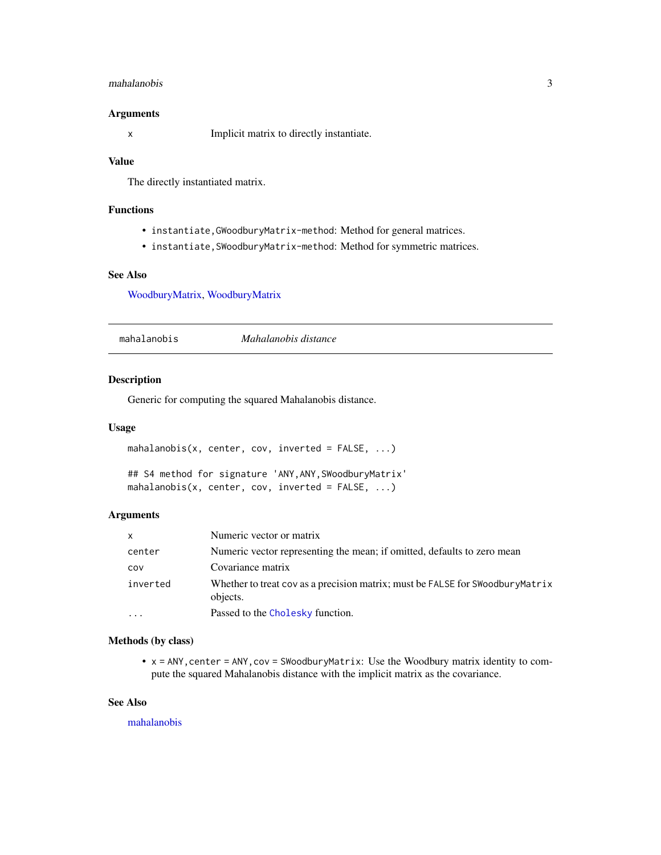#### <span id="page-2-0"></span>mahalanobis 3

#### Arguments

x Implicit matrix to directly instantiate.

#### Value

The directly instantiated matrix.

# Functions

- instantiate,GWoodburyMatrix-method: Method for general matrices.
- instantiate,SWoodburyMatrix-method: Method for symmetric matrices.

# See Also

[WoodburyMatrix,](#page-5-1) [WoodburyMatrix](#page-7-1)

<span id="page-2-1"></span>

mahalanobis *Mahalanobis distance*

# Description

Generic for computing the squared Mahalanobis distance.

#### Usage

```
mahalanobis(x, center, cov, inverted = FALSE, ...)
```

```
## S4 method for signature 'ANY,ANY,SWoodburyMatrix'
mahalanobis(x, center, cov, inverted = FALSE, ...)
```
#### Arguments

| $\mathsf{x}$ | Numeric vector or matrix                                                                  |
|--------------|-------------------------------------------------------------------------------------------|
| center       | Numeric vector representing the mean; if omitted, defaults to zero mean                   |
| COV          | Covariance matrix                                                                         |
| inverted     | Whether to treat cov as a precision matrix; must be FALSE for SWoodburyMatrix<br>objects. |
| $\cdots$     | Passed to the Cholesky function.                                                          |

# Methods (by class)

• x = ANY,center = ANY,cov = SWoodburyMatrix: Use the Woodbury matrix identity to compute the squared Mahalanobis distance with the implicit matrix as the covariance.

# See Also

[mahalanobis](#page-2-1)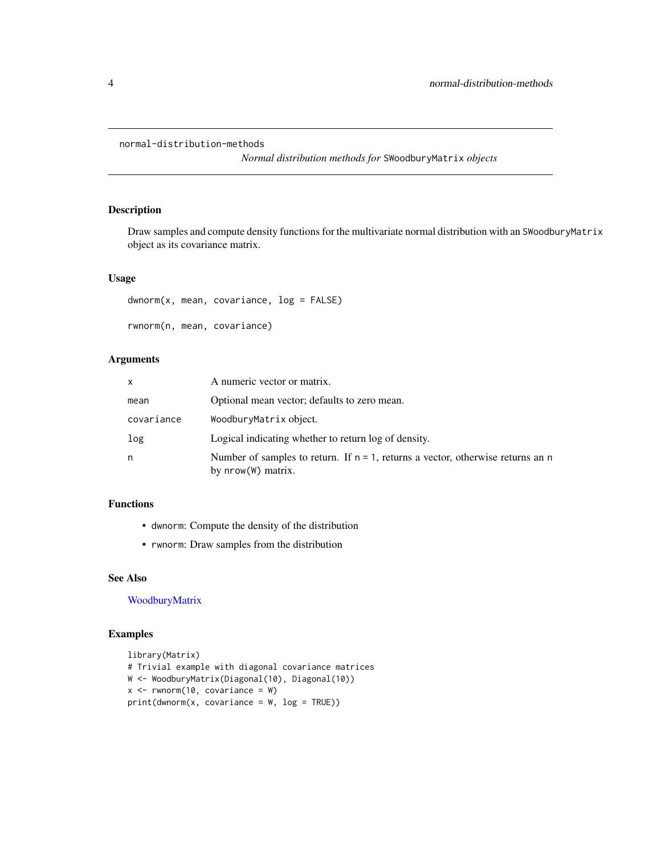```
normal-distribution-methods
```
*Normal distribution methods for* SWoodburyMatrix *objects*

# Description

Draw samples and compute density functions for the multivariate normal distribution with an SWoodburyMatrix object as its covariance matrix.

# Usage

```
dwnorm(x, mean, covariance, log = FALSE)
rwnorm(n, mean, covariance)
```
# Arguments

| x          | A numeric vector or matrix.                                                                              |
|------------|----------------------------------------------------------------------------------------------------------|
| mean       | Optional mean vector; defaults to zero mean.                                                             |
| covariance | WoodburyMatrix object.                                                                                   |
| log        | Logical indicating whether to return log of density.                                                     |
| n          | Number of samples to return. If $n = 1$ , returns a vector, otherwise returns an n<br>by nrow(W) matrix. |

# Functions

- dwnorm: Compute the density of the distribution
- rwnorm: Draw samples from the distribution

# See Also

[WoodburyMatrix](#page-5-1)

# Examples

```
library(Matrix)
# Trivial example with diagonal covariance matrices
W <- WoodburyMatrix(Diagonal(10), Diagonal(10))
x \leq -rwnorm(10, covariance = W)
print(dwnorm(x, covariance = W, log = TRUE))
```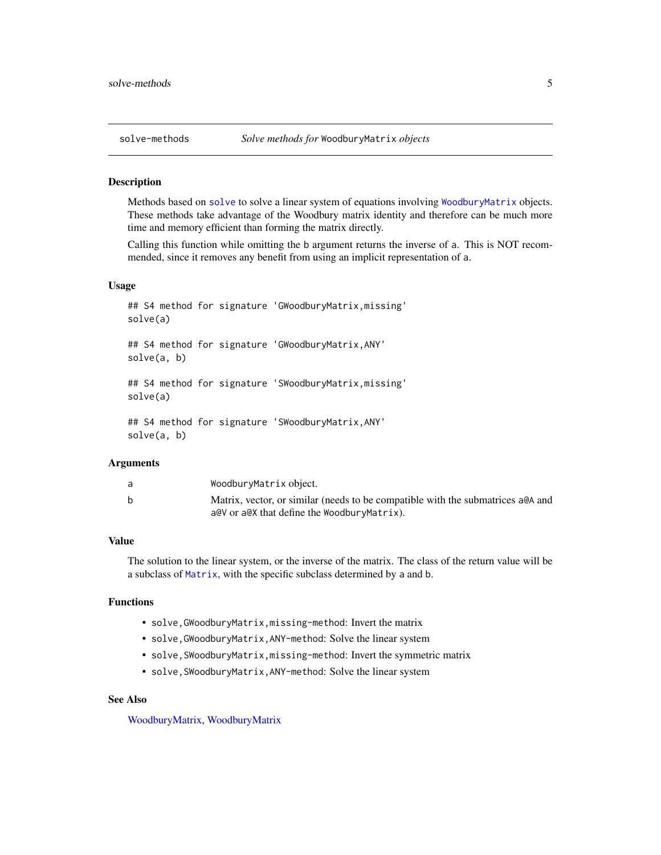<span id="page-4-0"></span>

#### <span id="page-4-1"></span>**Description**

Methods based on [solve](#page-4-1) to solve a linear system of equations involving [WoodburyMatrix](#page-7-1) objects. These methods take advantage of the Woodbury matrix identity and therefore can be much more time and memory efficient than forming the matrix directly.

Calling this function while omitting the b argument returns the inverse of a. This is NOT recommended, since it removes any benefit from using an implicit representation of a.

# Usage

```
## S4 method for signature 'GWoodburyMatrix,missing'
solve(a)
## S4 method for signature 'GWoodburyMatrix,ANY'
solve(a, b)
## S4 method for signature 'SWoodburyMatrix,missing'
solve(a)
## S4 method for signature 'SWoodburyMatrix,ANY'
solve(a, b)
```
#### Arguments

| a | WoodburyMatrix object.                                                           |
|---|----------------------------------------------------------------------------------|
|   | Matrix, vector, or similar (needs to be compatible with the submatrices a QA and |
|   | a@V or a@X that define the WoodburyMatrix).                                      |

# Value

The solution to the linear system, or the inverse of the matrix. The class of the return value will be a subclass of [Matrix](#page-0-0), with the specific subclass determined by a and b.

# Functions

- solve,GWoodburyMatrix,missing-method: Invert the matrix
- solve,GWoodburyMatrix,ANY-method: Solve the linear system
- solve,SWoodburyMatrix,missing-method: Invert the symmetric matrix
- solve,SWoodburyMatrix,ANY-method: Solve the linear system

#### See Also

[WoodburyMatrix,](#page-5-1) [WoodburyMatrix](#page-7-1)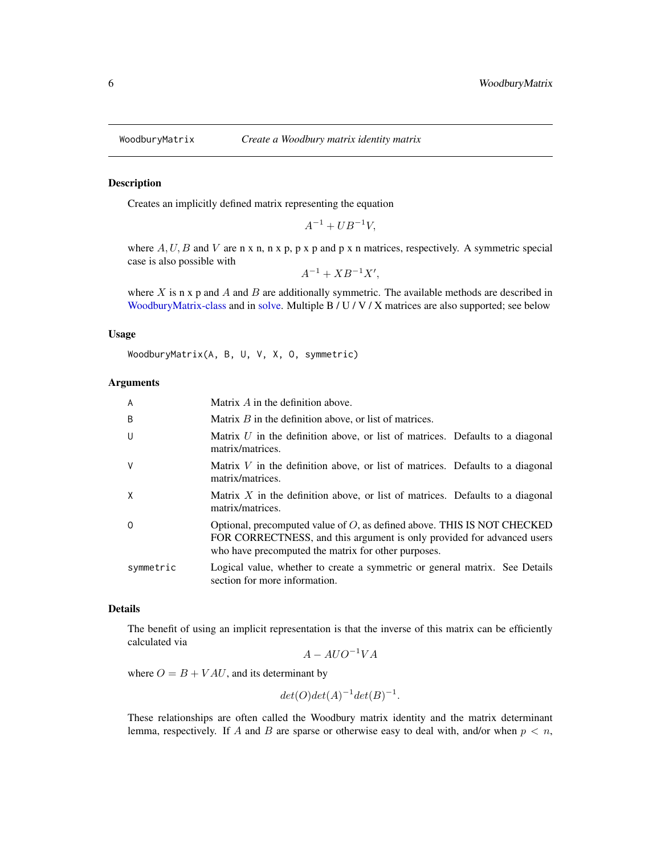<span id="page-5-1"></span><span id="page-5-0"></span>

# Description

Creates an implicitly defined matrix representing the equation

 $A^{-1} + U B^{-1} V$ ,

where  $A, U, B$  and  $V$  are n x n, n x p, p x p and p x n matrices, respectively. A symmetric special case is also possible with

 $A^{-1} + XB^{-1}X',$ 

where X is n x p and A and B are additionally symmetric. The available methods are described in [WoodburyMatrix-class](#page-7-1) and in [solve.](#page-4-1) Multiple B / U / V / X matrices are also supported; see below

#### Usage

WoodburyMatrix(A, B, U, V, X, O, symmetric)

#### Arguments

| $\overline{A}$ | Matrix $A$ in the definition above.                                                                                                                                                                         |
|----------------|-------------------------------------------------------------------------------------------------------------------------------------------------------------------------------------------------------------|
| B              | Matrix $B$ in the definition above, or list of matrices.                                                                                                                                                    |
| U              | Matrix $U$ in the definition above, or list of matrices. Defaults to a diagonal<br>matrix/matrices.                                                                                                         |
| V              | Matrix $V$ in the definition above, or list of matrices. Defaults to a diagonal<br>matrix/matrices.                                                                                                         |
| X              | Matrix $X$ in the definition above, or list of matrices. Defaults to a diagonal<br>matrix/matrices.                                                                                                         |
| $\Omega$       | Optional, precomputed value of $O$ , as defined above. THIS IS NOT CHECKED<br>FOR CORRECTNESS, and this argument is only provided for advanced users<br>who have precomputed the matrix for other purposes. |
| symmetric      | Logical value, whether to create a symmetric or general matrix. See Details<br>section for more information.                                                                                                |

#### Details

The benefit of using an implicit representation is that the inverse of this matrix can be efficiently calculated via

 $A - A U O^{-1} V A$ 

where  $O = B + VAU$ , and its determinant by

 $det(O)det(A)^{-1}det(B)^{-1}.$ 

These relationships are often called the Woodbury matrix identity and the matrix determinant lemma, respectively. If A and B are sparse or otherwise easy to deal with, and/or when  $p < n$ ,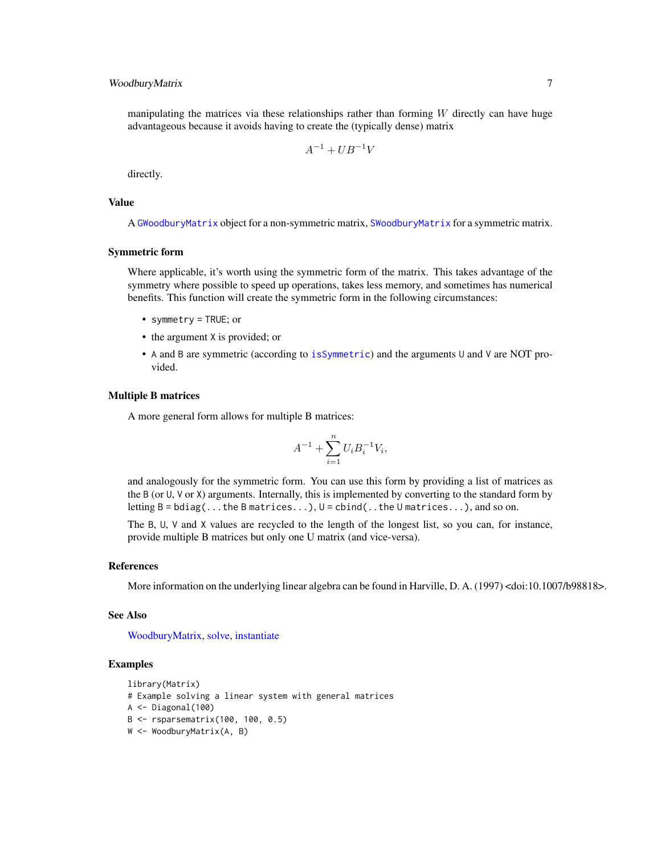# <span id="page-6-0"></span>WoodburyMatrix 7

manipulating the matrices via these relationships rather than forming  $W$  directly can have huge advantageous because it avoids having to create the (typically dense) matrix

$$
A^{-1} + U B^{-1} V
$$

directly.

# Value

A [GWoodburyMatrix](#page-7-2) object for a non-symmetric matrix, [SWoodburyMatrix](#page-7-2) for a symmetric matrix.

#### Symmetric form

Where applicable, it's worth using the symmetric form of the matrix. This takes advantage of the symmetry where possible to speed up operations, takes less memory, and sometimes has numerical benefits. This function will create the symmetric form in the following circumstances:

- symmetry = TRUE; or
- the argument X is provided; or
- A and B are symmetric (according to [isSymmetric](#page-0-0)) and the arguments U and V are NOT provided.

# Multiple B matrices

A more general form allows for multiple B matrices:

$$
A^{-1} + \sum_{i=1}^{n} U_i B_i^{-1} V_i,
$$

and analogously for the symmetric form. You can use this form by providing a list of matrices as the B (or U, V or X) arguments. Internally, this is implemented by converting to the standard form by letting  $B = bdiag(...the B matrices...), U = cbind(...the U matrices...), and so on.$ 

The B, U, V and X values are recycled to the length of the longest list, so you can, for instance, provide multiple B matrices but only one U matrix (and vice-versa).

#### References

More information on the underlying linear algebra can be found in Harville, D. A. (1997) <doi:10.1007/b98818>.

#### See Also

[WoodburyMatrix,](#page-7-1) [solve,](#page-4-1) [instantiate](#page-1-1)

# Examples

```
library(Matrix)
# Example solving a linear system with general matrices
A <- Diagonal(100)
B <- rsparsematrix(100, 100, 0.5)
W <- WoodburyMatrix(A, B)
```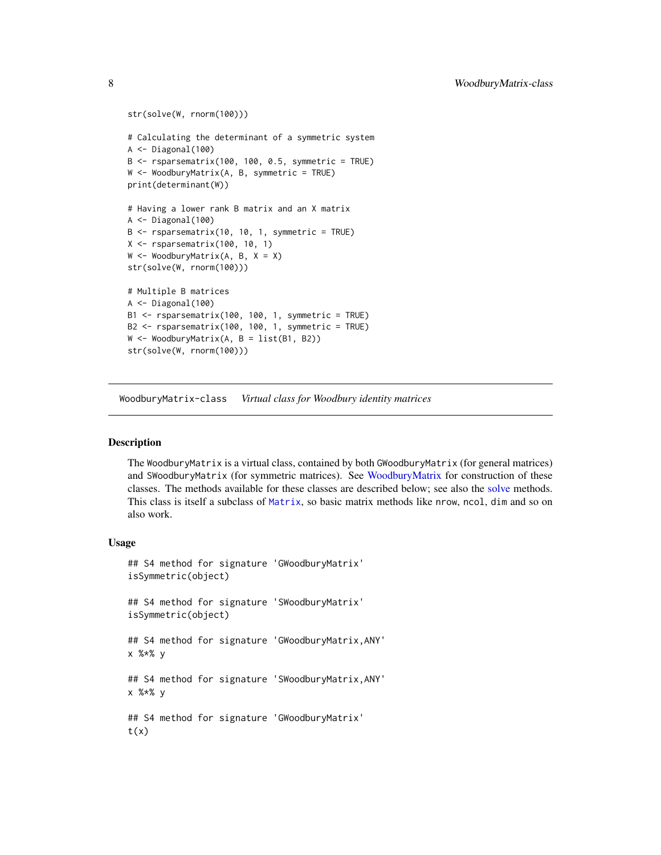```
str(solve(W, rnorm(100)))
# Calculating the determinant of a symmetric system
A <- Diagonal(100)
B \leq - rsparsematrix(100, 100, 0.5, symmetric = TRUE)
W <- WoodburyMatrix(A, B, symmetric = TRUE)
print(determinant(W))
# Having a lower rank B matrix and an X matrix
A <- Diagonal(100)
B \leq - rsparsematrix(10, 10, 1, symmetric = TRUE)
X <- rsparsematrix(100, 10, 1)
W \leq W Woodbury Matrix(A, B, X = X)
str(solve(W, rnorm(100)))
# Multiple B matrices
A <- Diagonal(100)
B1 <- rsparsematrix(100, 100, 1, symmetric = TRUE)
B2 <- rsparsematrix(100, 100, 1, symmetric = TRUE)
W <- WoodburyMatrix(A, B = list(B1, B2))
str(solve(W, rnorm(100)))
```
<span id="page-7-1"></span>WoodburyMatrix-class *Virtual class for Woodbury identity matrices*

# <span id="page-7-2"></span>Description

The WoodburyMatrix is a virtual class, contained by both GWoodburyMatrix (for general matrices) and SWoodburyMatrix (for symmetric matrices). See [WoodburyMatrix](#page-5-1) for construction of these classes. The methods available for these classes are described below; see also the [solve](#page-4-1) methods. This class is itself a subclass of [Matrix](#page-0-0), so basic matrix methods like nrow, ncol, dim and so on also work.

#### Usage

```
## S4 method for signature 'GWoodburyMatrix'
isSymmetric(object)
## S4 method for signature 'SWoodburyMatrix'
isSymmetric(object)
## S4 method for signature 'GWoodburyMatrix,ANY'
x %*% y
## S4 method for signature 'SWoodburyMatrix,ANY'
x %*% y
## S4 method for signature 'GWoodburyMatrix'
t(x)
```
<span id="page-7-0"></span>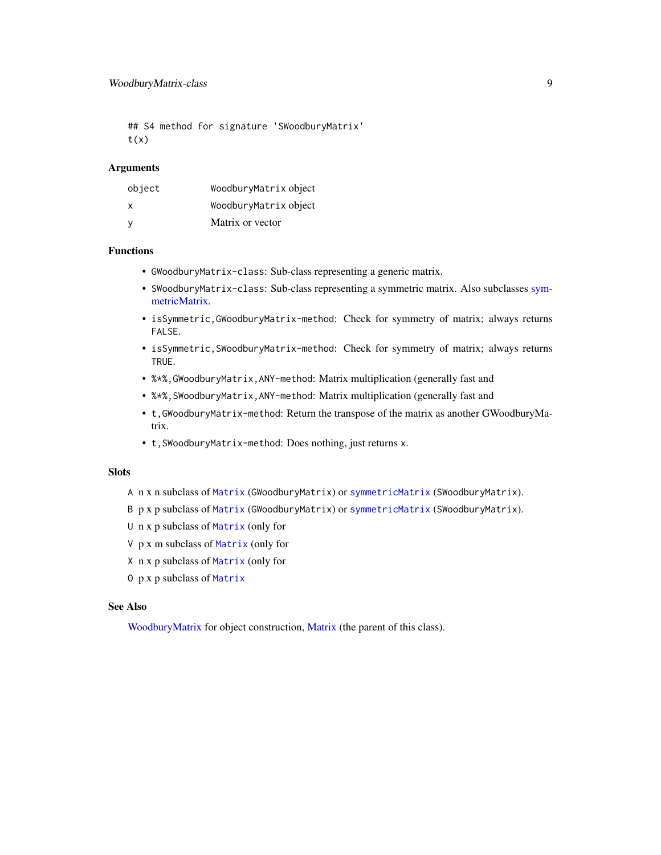```
## S4 method for signature 'SWoodburyMatrix'
t(x)
```
#### Arguments

| object | WoodburyMatrix object |
|--------|-----------------------|
| X      | WoodburyMatrix object |
| y      | Matrix or vector      |

#### Functions

- GWoodburyMatrix-class: Sub-class representing a generic matrix.
- SWoodburyMatrix-class: Sub-class representing a symmetric matrix. Also subclasses [sym](#page-0-0)[metricMatrix.](#page-0-0)
- isSymmetric,GWoodburyMatrix-method: Check for symmetry of matrix; always returns FALSE.
- isSymmetric,SWoodburyMatrix-method: Check for symmetry of matrix; always returns TRUE.
- %\*%,GWoodburyMatrix,ANY-method: Matrix multiplication (generally fast and
- %\*%,SWoodburyMatrix,ANY-method: Matrix multiplication (generally fast and
- t,GWoodburyMatrix-method: Return the transpose of the matrix as another GWoodburyMatrix.
- t,SWoodburyMatrix-method: Does nothing, just returns x.

# **Slots**

- A n x n subclass of [Matrix](#page-0-0) (GWoodburyMatrix) or [symmetricMatrix](#page-0-0) (SWoodburyMatrix).
- B p x p subclass of [Matrix](#page-0-0) (GWoodburyMatrix) or [symmetricMatrix](#page-0-0) (SWoodburyMatrix).
- U n x p subclass of [Matrix](#page-0-0) (only for
- V p x m subclass of [Matrix](#page-0-0) (only for
- X n x p subclass of [Matrix](#page-0-0) (only for
- O p x p subclass of [Matrix](#page-0-0)

#### See Also

[WoodburyMatrix](#page-5-1) for object construction, [Matrix](#page-0-0) (the parent of this class).